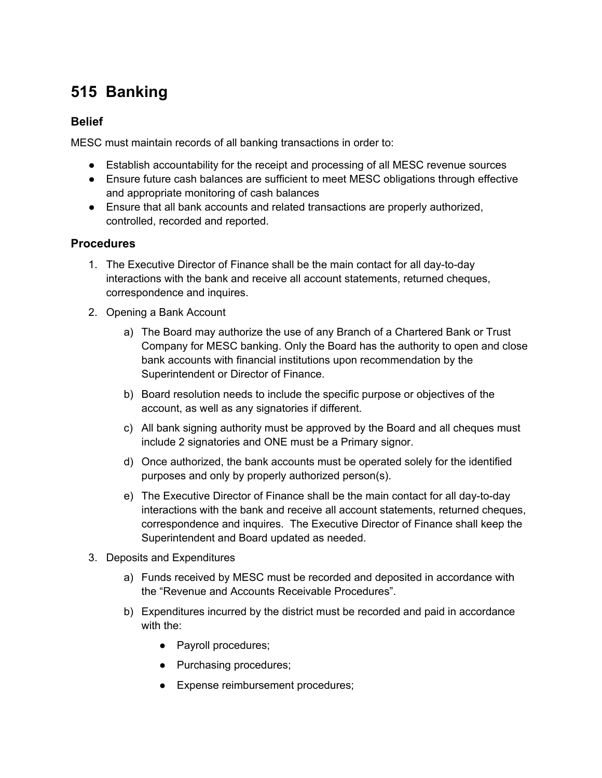## **515 Banking**

## **Belief**

MESC must maintain records of all banking transactions in order to:

- Establish accountability for the receipt and processing of all MESC revenue sources
- Ensure future cash balances are sufficient to meet MESC obligations through effective and appropriate monitoring of cash balances
- Ensure that all bank accounts and related transactions are properly authorized, controlled, recorded and reported.

## **Procedures**

- 1. The Executive Director of Finance shall be the main contact for all day-to-day interactions with the bank and receive all account statements, returned cheques, correspondence and inquires.
- 2. Opening a Bank Account
	- a) The Board may authorize the use of any Branch of a Chartered Bank or Trust Company for MESC banking. Only the Board has the authority to open and close bank accounts with financial institutions upon recommendation by the Superintendent or Director of Finance.
	- b) Board resolution needs to include the specific purpose or objectives of the account, as well as any signatories if different.
	- c) All bank signing authority must be approved by the Board and all cheques must include 2 signatories and ONE must be a Primary signor.
	- d) Once authorized, the bank accounts must be operated solely for the identified purposes and only by properly authorized person(s).
	- e) The Executive Director of Finance shall be the main contact for all day-to-day interactions with the bank and receive all account statements, returned cheques, correspondence and inquires. The Executive Director of Finance shall keep the Superintendent and Board updated as needed.
- 3. Deposits and Expenditures
	- a) Funds received by MESC must be recorded and deposited in accordance with the "Revenue and Accounts Receivable Procedures".
	- b) Expenditures incurred by the district must be recorded and paid in accordance with the:
		- Payroll procedures;
		- Purchasing procedures;
		- Expense reimbursement procedures;